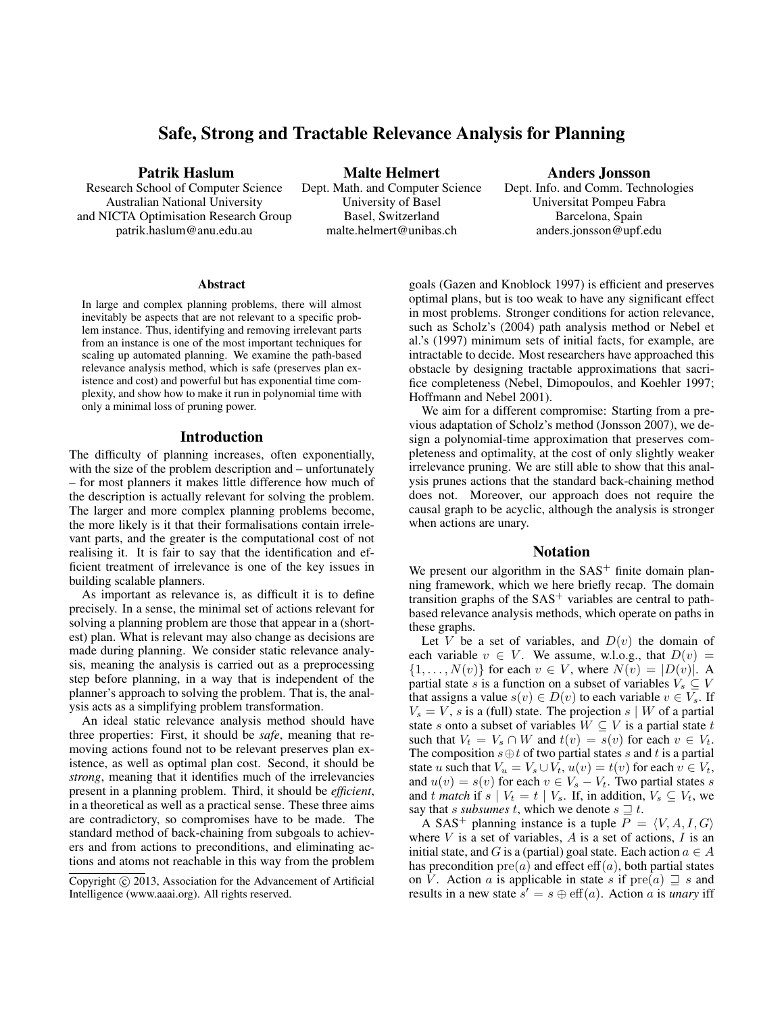# Safe, Strong and Tractable Relevance Analysis for Planning

Patrik Haslum

Research School of Computer Science Australian National University and NICTA Optimisation Research Group patrik.haslum@anu.edu.au

Malte Helmert Dept. Math. and Computer Science University of Basel Basel, Switzerland malte.helmert@unibas.ch

Anders Jonsson

Dept. Info. and Comm. Technologies Universitat Pompeu Fabra Barcelona, Spain anders.jonsson@upf.edu

#### Abstract

In large and complex planning problems, there will almost inevitably be aspects that are not relevant to a specific problem instance. Thus, identifying and removing irrelevant parts from an instance is one of the most important techniques for scaling up automated planning. We examine the path-based relevance analysis method, which is safe (preserves plan existence and cost) and powerful but has exponential time complexity, and show how to make it run in polynomial time with only a minimal loss of pruning power.

#### Introduction

The difficulty of planning increases, often exponentially, with the size of the problem description and – unfortunately – for most planners it makes little difference how much of the description is actually relevant for solving the problem. The larger and more complex planning problems become, the more likely is it that their formalisations contain irrelevant parts, and the greater is the computational cost of not realising it. It is fair to say that the identification and efficient treatment of irrelevance is one of the key issues in building scalable planners.

As important as relevance is, as difficult it is to define precisely. In a sense, the minimal set of actions relevant for solving a planning problem are those that appear in a (shortest) plan. What is relevant may also change as decisions are made during planning. We consider static relevance analysis, meaning the analysis is carried out as a preprocessing step before planning, in a way that is independent of the planner's approach to solving the problem. That is, the analysis acts as a simplifying problem transformation.

An ideal static relevance analysis method should have three properties: First, it should be *safe*, meaning that removing actions found not to be relevant preserves plan existence, as well as optimal plan cost. Second, it should be *strong*, meaning that it identifies much of the irrelevancies present in a planning problem. Third, it should be *efficient*, in a theoretical as well as a practical sense. These three aims are contradictory, so compromises have to be made. The standard method of back-chaining from subgoals to achievers and from actions to preconditions, and eliminating actions and atoms not reachable in this way from the problem

goals (Gazen and Knoblock 1997) is efficient and preserves optimal plans, but is too weak to have any significant effect in most problems. Stronger conditions for action relevance, such as Scholz's (2004) path analysis method or Nebel et al.'s (1997) minimum sets of initial facts, for example, are intractable to decide. Most researchers have approached this obstacle by designing tractable approximations that sacrifice completeness (Nebel, Dimopoulos, and Koehler 1997; Hoffmann and Nebel 2001).

We aim for a different compromise: Starting from a previous adaptation of Scholz's method (Jonsson 2007), we design a polynomial-time approximation that preserves completeness and optimality, at the cost of only slightly weaker irrelevance pruning. We are still able to show that this analysis prunes actions that the standard back-chaining method does not. Moreover, our approach does not require the causal graph to be acyclic, although the analysis is stronger when actions are unary.

## Notation

We present our algorithm in the  $SAS<sup>+</sup>$  finite domain planning framework, which we here briefly recap. The domain transition graphs of the  $SAS<sup>+</sup>$  variables are central to pathbased relevance analysis methods, which operate on paths in these graphs.

Let V be a set of variables, and  $D(v)$  the domain of each variable  $v \in V$ . We assume, w.l.o.g., that  $D(v) =$  $\{1,\ldots,N(v)\}\$ for each  $v \in V$ , where  $N(v) = |D(v)|$ . A partial state s is a function on a subset of variables  $V_s \subseteq V$ that assigns a value  $s(v) \in D(v)$  to each variable  $v \in V_s$ . If  $V<sub>s</sub> = V$ , s is a (full) state. The projection s | W of a partial state s onto a subset of variables  $W \subseteq V$  is a partial state t such that  $V_t = V_s \cap W$  and  $t(v) = s(v)$  for each  $v \in V_t$ . The composition  $s \oplus t$  of two partial states s and t is a partial state u such that  $V_u = V_s \cup V_t$ ,  $u(v) = t(v)$  for each  $v \in V_t$ , and  $u(v) = s(v)$  for each  $v \in V_s - V_t$ . Two partial states s and t match if s |  $V_t = t \mid V_s$ . If, in addition,  $V_s \subseteq V_t$ , we say that *s subsumes* t, which we denote  $s \sqsupseteq t$ .

A SAS<sup>+</sup> planning instance is a tuple  $P = \langle V, A, I, G \rangle$ where  $V$  is a set of variables,  $A$  is a set of actions,  $I$  is an initial state, and G is a (partial) goal state. Each action  $a \in A$ has precondition  $pre(a)$  and effect  $eff(a)$ , both partial states on V. Action a is applicable in state s if  $pre(a) \sqsupseteq s$  and results in a new state  $s' = s \oplus \text{eff}(a)$ . Action a is *unary* iff

Copyright (c) 2013, Association for the Advancement of Artificial Intelligence (www.aaai.org). All rights reserved.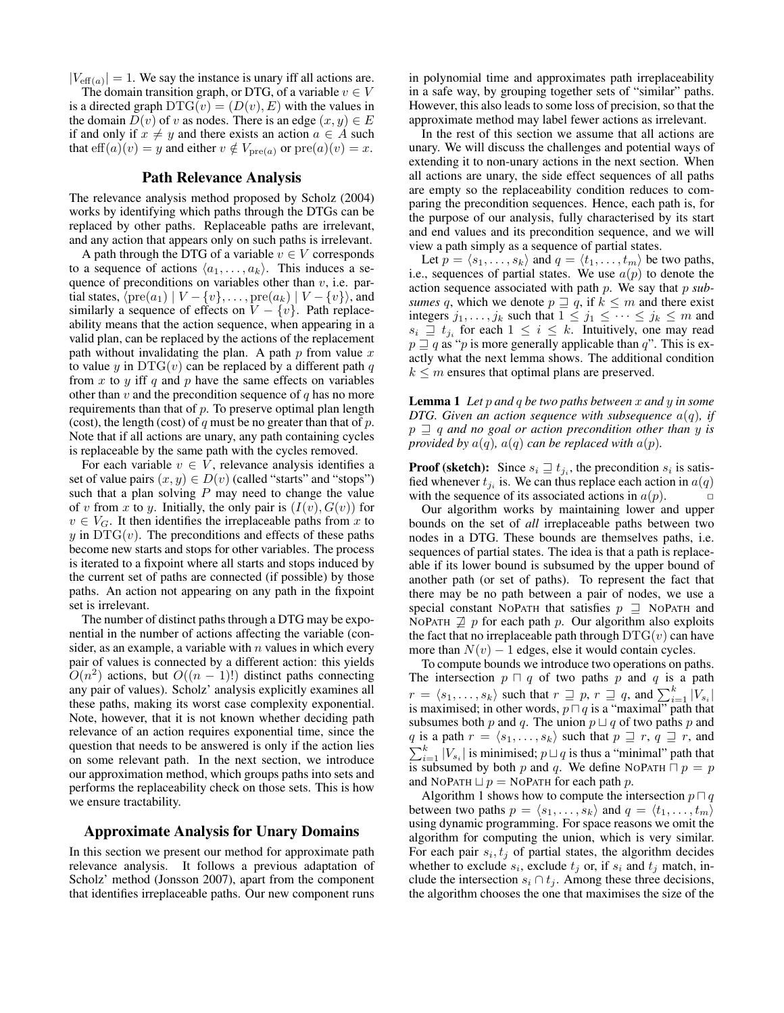$|V_{\text{eff}(a)}| = 1$ . We say the instance is unary iff all actions are.

The domain transition graph, or DTG, of a variable  $v \in V$ is a directed graph  $DTG(v) = (D(v), E)$  with the values in the domain  $D(v)$  of v as nodes. There is an edge  $(x, y) \in E$ if and only if  $x \neq y$  and there exists an action  $a \in A$  such that  $\text{eff}(a)(v) = y$  and either  $v \notin V_{\text{pre}(a)}$  or  $\text{pre}(a)(v) = x$ .

## Path Relevance Analysis

The relevance analysis method proposed by Scholz (2004) works by identifying which paths through the DTGs can be replaced by other paths. Replaceable paths are irrelevant, and any action that appears only on such paths is irrelevant.

A path through the DTG of a variable  $v \in V$  corresponds to a sequence of actions  $\langle a_1, \ldots, a_k \rangle$ . This induces a sequence of preconditions on variables other than  $v$ , i.e. partial states,  $\langle \text{pre}(a_1) | V - \{v\}, \ldots, \text{pre}(a_k) | V - \{v\} \rangle$ , and similarly a sequence of effects on  $V - \{v\}$ . Path replaceability means that the action sequence, when appearing in a valid plan, can be replaced by the actions of the replacement path without invalidating the plan. A path  $p$  from value  $x$ to value y in  $DTG(v)$  can be replaced by a different path q from  $x$  to  $y$  iff  $q$  and  $p$  have the same effects on variables other than  $v$  and the precondition sequence of  $q$  has no more requirements than that of  $p$ . To preserve optimal plan length (cost), the length (cost) of  $q$  must be no greater than that of  $p$ . Note that if all actions are unary, any path containing cycles is replaceable by the same path with the cycles removed.

For each variable  $v \in V$ , relevance analysis identifies a set of value pairs  $(x, y) \in D(v)$  (called "starts" and "stops") such that a plan solving  $P$  may need to change the value of v from x to y. Initially, the only pair is  $(I(v), G(v))$  for  $v \in V_G$ . It then identifies the irreplaceable paths from x to  $y$  in DTG( $v$ ). The preconditions and effects of these paths become new starts and stops for other variables. The process is iterated to a fixpoint where all starts and stops induced by the current set of paths are connected (if possible) by those paths. An action not appearing on any path in the fixpoint set is irrelevant.

The number of distinct paths through a DTG may be exponential in the number of actions affecting the variable (consider, as an example, a variable with  $n$  values in which every pair of values is connected by a different action: this yields  $O(n^2)$  actions, but  $O((n-1)!)$  distinct paths connecting any pair of values). Scholz' analysis explicitly examines all these paths, making its worst case complexity exponential. Note, however, that it is not known whether deciding path relevance of an action requires exponential time, since the question that needs to be answered is only if the action lies on some relevant path. In the next section, we introduce our approximation method, which groups paths into sets and performs the replaceability check on those sets. This is how we ensure tractability.

## Approximate Analysis for Unary Domains

In this section we present our method for approximate path relevance analysis. It follows a previous adaptation of Scholz' method (Jonsson 2007), apart from the component that identifies irreplaceable paths. Our new component runs in polynomial time and approximates path irreplaceability in a safe way, by grouping together sets of "similar" paths. However, this also leads to some loss of precision, so that the approximate method may label fewer actions as irrelevant.

In the rest of this section we assume that all actions are unary. We will discuss the challenges and potential ways of extending it to non-unary actions in the next section. When all actions are unary, the side effect sequences of all paths are empty so the replaceability condition reduces to comparing the precondition sequences. Hence, each path is, for the purpose of our analysis, fully characterised by its start and end values and its precondition sequence, and we will view a path simply as a sequence of partial states.

Let  $p = \langle s_1, \ldots, s_k \rangle$  and  $q = \langle t_1, \ldots, t_m \rangle$  be two paths, i.e., sequences of partial states. We use  $a(p)$  to denote the action sequence associated with path p. We say that p *subsumes* q, which we denote  $p \supseteq q$ , if  $k \leq m$  and there exist integers  $j_1, \ldots, j_k$  such that  $1 \le j_1 \le \cdots \le j_k \le m$  and  $s_i \supseteq t_{j_i}$  for each  $1 \leq i \leq k$ . Intuitively, one may read  $p \sqsupseteq q$  as "p is more generally applicable than q". This is exactly what the next lemma shows. The additional condition  $k \leq m$  ensures that optimal plans are preserved.

Lemma 1 *Let* p *and* q *be two paths between* x *and* y *in some DTG. Given an action sequence with subsequence*  $a(q)$ *, if*  $p \supseteq q$  and no goal or action precondition other than y is *provided by*  $a(q)$ *,*  $a(q)$  *can be replaced with*  $a(p)$ *.* 

**Proof (sketch):** Since  $s_i \sqsupseteq t_{j_i}$ , the precondition  $s_i$  is satisfied whenever  $t_{j_i}$  is. We can thus replace each action in  $a(q)$ with the sequence of its associated actions in  $a(p)$ .

Our algorithm works by maintaining lower and upper bounds on the set of *all* irreplaceable paths between two nodes in a DTG. These bounds are themselves paths, i.e. sequences of partial states. The idea is that a path is replaceable if its lower bound is subsumed by the upper bound of another path (or set of paths). To represent the fact that there may be no path between a pair of nodes, we use a special constant NOPATH that satisfies  $p \supseteq \text{NoPATH}$  and NOPATH  $\not\supseteq p$  for each path p. Our algorithm also exploits the fact that no irreplaceable path through  $DTG(v)$  can have more than  $N(v) - 1$  edges, else it would contain cycles.

To compute bounds we introduce two operations on paths. The intersection  $p \cap q$  of two paths p and q is a path  $r = \langle s_1, \ldots, s_k \rangle$  such that  $r \supseteq p, r \supseteq q$ , and  $\sum_{i=1}^k |V_{s_i}|$ is maximised; in other words,  $p \sqcap q$  is a "maximal" path that subsumes both p and q. The union  $p \sqcup q$  of two paths p and q is a path  $r = \langle s_1, \ldots, s_k \rangle$  such that  $p \supseteq r$ ,  $q \supseteq r$ , and  $\sum_{i=1}^{k} |V_{s_i}|$  is minimised;  $p \sqcup q$  is thus a "minimal" path that is subsumed by both p and q. We define NOPATH  $\cap$  p = p and NOPATH  $\Box p =$  NOPATH for each path p.

Algorithm 1 shows how to compute the intersection  $p \sqcap q$ between two paths  $p = \langle s_1, \ldots, s_k \rangle$  and  $q = \langle t_1, \ldots, t_m \rangle$ using dynamic programming. For space reasons we omit the algorithm for computing the union, which is very similar. For each pair  $s_i, t_j$  of partial states, the algorithm decides whether to exclude  $s_i$ , exclude  $t_j$  or, if  $s_i$  and  $t_j$  match, include the intersection  $s_i \cap t_j$ . Among these three decisions, the algorithm chooses the one that maximises the size of the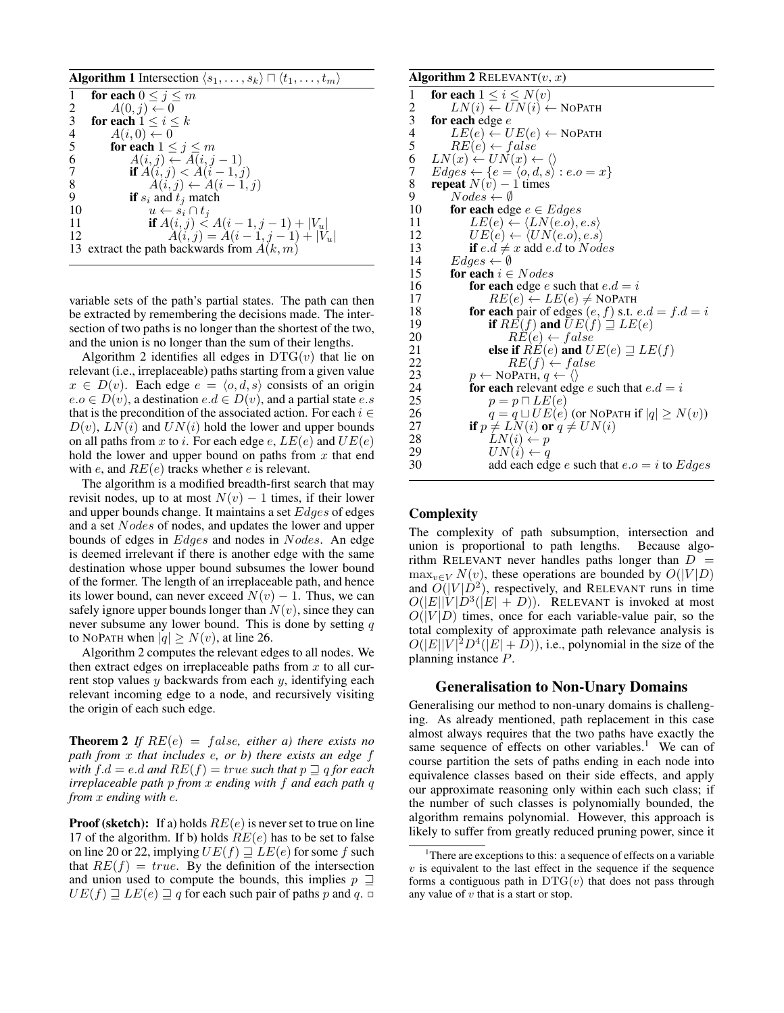| <b>Algorithm 1</b> Intersection $\langle s_1, \ldots, s_k \rangle \sqcap \langle t_1, \ldots, t_m \rangle$ |                                                 |
|------------------------------------------------------------------------------------------------------------|-------------------------------------------------|
|                                                                                                            | for each $0 \leq j \leq m$                      |
| 2                                                                                                          | $A(0, j) \leftarrow 0$                          |
| 3                                                                                                          | for each $1 \leq i \leq k$                      |
|                                                                                                            | $A(i,0) \leftarrow 0$                           |
| $\frac{4}{5}$                                                                                              | for each $1 \leq j \leq m$                      |
| 6                                                                                                          | $A(i, j) \leftarrow A(i, j - 1)$                |
| 7                                                                                                          | <b>if</b> $A(i, j) < A(i - 1, j)$               |
| 8                                                                                                          | $A(i, j) \leftarrow A(i - 1, j)$                |
| 9                                                                                                          | <b>if</b> $s_i$ and $t_j$ match                 |
| 10                                                                                                         | $u \leftarrow s_i \cap t_i$                     |
| -11                                                                                                        | <b>if</b> $A(i, j) \le A(i - 1, j - 1) +  V_u $ |
| 12                                                                                                         | $A(i, j) = A(i - 1, j - 1) +  \tilde{V}_u $     |
| 13                                                                                                         | extract the path backwards from $A(k, m)$       |

variable sets of the path's partial states. The path can then be extracted by remembering the decisions made. The intersection of two paths is no longer than the shortest of the two, and the union is no longer than the sum of their lengths.

Algorithm 2 identifies all edges in  $DTG(v)$  that lie on relevant (i.e., irreplaceable) paths starting from a given value  $x \in D(v)$ . Each edge  $e = \langle o, d, s \rangle$  consists of an origin  $e.o \in D(v)$ , a destination  $e.d \in D(v)$ , and a partial state  $e.s$ that is the precondition of the associated action. For each  $i \in$  $D(v)$ ,  $LN(i)$  and  $UN(i)$  hold the lower and upper bounds on all paths from x to i. For each edge e,  $LE(e)$  and  $UE(e)$ hold the lower and upper bound on paths from  $x$  that end with e, and  $RE(e)$  tracks whether e is relevant.

The algorithm is a modified breadth-first search that may revisit nodes, up to at most  $N(v) - 1$  times, if their lower and upper bounds change. It maintains a set Edges of edges and a set Nodes of nodes, and updates the lower and upper bounds of edges in Edges and nodes in Nodes. An edge is deemed irrelevant if there is another edge with the same destination whose upper bound subsumes the lower bound of the former. The length of an irreplaceable path, and hence its lower bound, can never exceed  $N(v) - 1$ . Thus, we can safely ignore upper bounds longer than  $N(v)$ , since they can never subsume any lower bound. This is done by setting  $q$ to NOPATH when  $|q| \ge N(v)$ , at line 26.

Algorithm 2 computes the relevant edges to all nodes. We then extract edges on irreplaceable paths from  $x$  to all current stop values  $y$  backwards from each  $y$ , identifying each relevant incoming edge to a node, and recursively visiting the origin of each such edge.

**Theorem 2** If  $RE(e) = false$ , either a) there exists no *path from* x *that includes* e*, or b) there exists an edge* f *with*  $f.d = e.d$  *and*  $RE(f) = true$  *such that*  $p \sqsupseteq q$  *for each irreplaceable path* p *from* x *ending with* f *and each path* q *from* x *ending with* e*.*

**Proof (sketch):** If a) holds  $RE(e)$  is never set to true on line 17 of the algorithm. If b) holds  $RE(e)$  has to be set to false on line 20 or 22, implying  $UE(f) \sqsupseteq LE(e)$  for some f such that  $RE(f) = true$ . By the definition of the intersection and union used to compute the bounds, this implies  $p \supseteq$  $UE(f) \sqsupseteq LE(e) \sqsupseteq q$  for each such pair of paths p and q.  $\Box$ 

#### Algorithm 2 RELEVANT $(v, x)$ 1 for each  $1 \le i \le N(v)$ <br>2  $LN(i) \leftarrow UN(i) \leftarrow$ 2  $LN(i) \leftarrow UN(i) \leftarrow \text{NOPATH}$ <br>3 for each edge e 3 for each edge e<br>4  $LE(e) \leftarrow U$ 4  $LE(e) \leftarrow UE(e) \leftarrow \text{NOPATH}$ <br>5  $RE(e) \leftarrow false$ 5  $RE(e) \leftarrow false$ <br>6  $LN(x) \leftarrow UN(x) \leftarrow$ 6  $LN(x) \leftarrow UN(x) \leftarrow \langle$ <br>7  $E\textrm{d}aes \leftarrow \{e = \langle o, d, s \rangle\}$ 7  $Edges \leftarrow \{e = \langle o, d, s \rangle : e.o = x\}$ <br>8 **repeat**  $N(v) - 1$  times 8 repeat  $N(v) - 1$  times<br>9  $Nodes \leftarrow \emptyset$ 9  $Nodes \leftarrow \emptyset$ <br>10 **for each** edg 10 for each edge  $e \in Edges$ <br>11  $LE(e) \leftarrow \langle LN(e.o), e \rangle$  $LE(e) \leftarrow \langle LN(e.o), e.s \rangle$ 12  $UE(e) \leftarrow \langle UN(e.o), e.s \rangle$ <br>13 **if**  $e.d \neq x$  add *e.d* to *Nod* 13 **if**  $e.d \neq x$  add  $e.d$  to *Nodes*<br>14 *Edges*  $\leftarrow \emptyset$ 14  $Edges \leftarrow \emptyset$ <br>15 **for each**  $i \in$ 15 **for each**  $i \in Nodes$ <br>16 **for each** edge *e* s for each edge e such that  $e.d = i$ 17  $RE(e) \leftarrow LE(e) \neq \text{NOPATH}$ <br>18 **for each** pair of edges  $(e, f)$  s.t. 18 **for each** pair of edges  $(e, f)$  s.t.  $e.d = f.d = i$ <br>19 **if**  $RE(f)$  and  $UE(f) \supseteq LE(e)$ 19 **if**  $RE(f)$  and  $\overline{U}E(f) \stackrel{\sim}{=} LE(e)$ <br>20  $RE(e) \leftarrow false$ 20  $RE(e) \leftarrow false$ <br>
21 **else if**  $RE(e)$  **and** *U* 21 **else if**  $R\ddot{E}(e)$  and  $UE(e) \sqsupseteq LE(f)$ <br>22  $RE(f) \leftarrow false$ 22  $RE(f) \leftarrow false$ <br>23  $p \leftarrow \text{NOPATH}, q \leftarrow \langle \rangle$ 23  $p \leftarrow \text{NoPATH}, q \leftarrow \langle \rangle$ <br>24 **for each** relevant edg 24 **for each** relevant edge *e* such that  $e.d = i$ <br>25  $p = p \sqcap LE(e)$ 25  $p = p \sqcap LE(e)$ <br>26  $q = q \sqcup UE(e)$ 26  $q = q \sqcup UE(e)$  (or NOPATH if  $|q| \ge N(v)$ )<br>27 **if**  $p \ne LN(i)$  or  $q \ne UN(i)$ 27 if  $p \neq LN(i)$  or  $q \neq UN(i)$ <br>28  $LN(i) \leftarrow p$ 28  $LN(i) \leftarrow p$ <br>29  $UN(i) \leftarrow q$  $UN(i) \leftarrow q$ 30 add each edge *e* such that  $e.o = i$  to *Edges*

## **Complexity**

The complexity of path subsumption, intersection and union is proportional to path lengths. Because algorithm RELEVANT never handles paths longer than  $D =$  $\max_{v \in V} N(v)$ , these operations are bounded by  $O(|V|D)$ and  $\tilde{O}(|V|D^2)$ , respectively, and RELEVANT runs in time  $O(|E||V|D^3(|E|+D))$ . RELEVANT is invoked at most  $O(|V|D)$  times, once for each variable-value pair, so the total complexity of approximate path relevance analysis is  $O(|E||V|^2D^4(|E|+\tilde{D}))$ , i.e., polynomial in the size of the planning instance P.

## Generalisation to Non-Unary Domains

Generalising our method to non-unary domains is challenging. As already mentioned, path replacement in this case almost always requires that the two paths have exactly the same sequence of effects on other variables.<sup>1</sup> We can of course partition the sets of paths ending in each node into equivalence classes based on their side effects, and apply our approximate reasoning only within each such class; if the number of such classes is polynomially bounded, the algorithm remains polynomial. However, this approach is likely to suffer from greatly reduced pruning power, since it

<sup>&</sup>lt;sup>1</sup>There are exceptions to this: a sequence of effects on a variable  $v$  is equivalent to the last effect in the sequence if the sequence forms a contiguous path in  $DTG(v)$  that does not pass through any value of  $v$  that is a start or stop.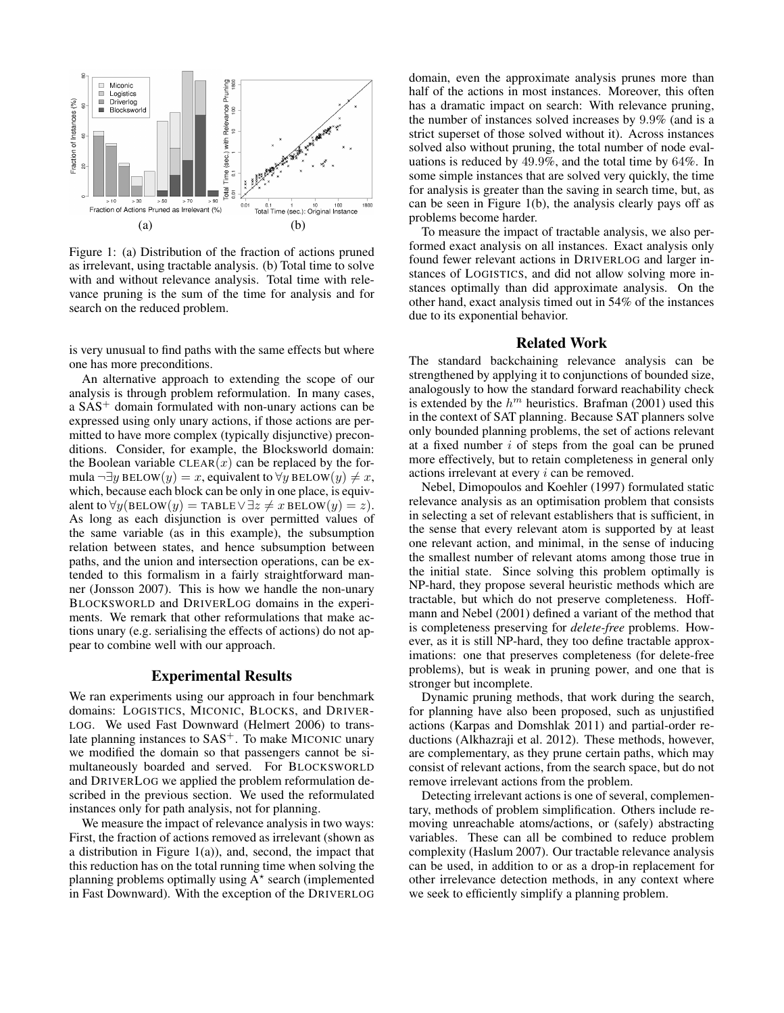

Figure 1: (a) Distribution of the fraction of actions pruned as irrelevant, using tractable analysis. (b) Total time to solve with and without relevance analysis. Total time with relevance pruning is the sum of the time for analysis and for search on the reduced problem.

is very unusual to find paths with the same effects but where one has more preconditions.

An alternative approach to extending the scope of our analysis is through problem reformulation. In many cases, a SAS<sup>+</sup> domain formulated with non-unary actions can be expressed using only unary actions, if those actions are permitted to have more complex (typically disjunctive) preconditions. Consider, for example, the Blocksworld domain: the Boolean variable  $CLEAR(x)$  can be replaced by the formula  $\neg \exists y \text{ BELOW}(y) = x$ , equivalent to  $\forall y \text{ BELOW}(y) \neq x$ , which, because each block can be only in one place, is equivalent to  $\forall y(\text{BELOW}(y) = \text{TABLE} \lor \exists z \neq x \text{ BELOW}(y) = z).$ As long as each disjunction is over permitted values of the same variable (as in this example), the subsumption relation between states, and hence subsumption between paths, and the union and intersection operations, can be extended to this formalism in a fairly straightforward manner (Jonsson 2007). This is how we handle the non-unary BLOCKSWORLD and DRIVERLOG domains in the experiments. We remark that other reformulations that make actions unary (e.g. serialising the effects of actions) do not appear to combine well with our approach.

#### Experimental Results

We ran experiments using our approach in four benchmark domains: LOGISTICS, MICONIC, BLOCKS, and DRIVER-LOG. We used Fast Downward (Helmert 2006) to translate planning instances to  $SAS<sup>+</sup>$ . To make MICONIC unary we modified the domain so that passengers cannot be simultaneously boarded and served. For BLOCKSWORLD and DRIVERLOG we applied the problem reformulation described in the previous section. We used the reformulated instances only for path analysis, not for planning.

We measure the impact of relevance analysis in two ways: First, the fraction of actions removed as irrelevant (shown as a distribution in Figure  $1(a)$ ), and, second, the impact that this reduction has on the total running time when solving the planning problems optimally using  $A^*$  search (implemented in Fast Downward). With the exception of the DRIVERLOG

domain, even the approximate analysis prunes more than half of the actions in most instances. Moreover, this often has a dramatic impact on search: With relevance pruning, the number of instances solved increases by 9.9% (and is a strict superset of those solved without it). Across instances solved also without pruning, the total number of node evaluations is reduced by 49.9%, and the total time by 64%. In some simple instances that are solved very quickly, the time for analysis is greater than the saving in search time, but, as can be seen in Figure 1(b), the analysis clearly pays off as problems become harder.

To measure the impact of tractable analysis, we also performed exact analysis on all instances. Exact analysis only found fewer relevant actions in DRIVERLOG and larger instances of LOGISTICS, and did not allow solving more instances optimally than did approximate analysis. On the other hand, exact analysis timed out in 54% of the instances due to its exponential behavior.

## Related Work

The standard backchaining relevance analysis can be strengthened by applying it to conjunctions of bounded size, analogously to how the standard forward reachability check is extended by the  $h^m$  heuristics. Brafman (2001) used this in the context of SAT planning. Because SAT planners solve only bounded planning problems, the set of actions relevant at a fixed number i of steps from the goal can be pruned more effectively, but to retain completeness in general only actions irrelevant at every i can be removed.

Nebel, Dimopoulos and Koehler (1997) formulated static relevance analysis as an optimisation problem that consists in selecting a set of relevant establishers that is sufficient, in the sense that every relevant atom is supported by at least one relevant action, and minimal, in the sense of inducing the smallest number of relevant atoms among those true in the initial state. Since solving this problem optimally is NP-hard, they propose several heuristic methods which are tractable, but which do not preserve completeness. Hoffmann and Nebel (2001) defined a variant of the method that is completeness preserving for *delete-free* problems. However, as it is still NP-hard, they too define tractable approximations: one that preserves completeness (for delete-free problems), but is weak in pruning power, and one that is stronger but incomplete.

Dynamic pruning methods, that work during the search, for planning have also been proposed, such as unjustified actions (Karpas and Domshlak 2011) and partial-order reductions (Alkhazraji et al. 2012). These methods, however, are complementary, as they prune certain paths, which may consist of relevant actions, from the search space, but do not remove irrelevant actions from the problem.

Detecting irrelevant actions is one of several, complementary, methods of problem simplification. Others include removing unreachable atoms/actions, or (safely) abstracting variables. These can all be combined to reduce problem complexity (Haslum 2007). Our tractable relevance analysis can be used, in addition to or as a drop-in replacement for other irrelevance detection methods, in any context where we seek to efficiently simplify a planning problem.